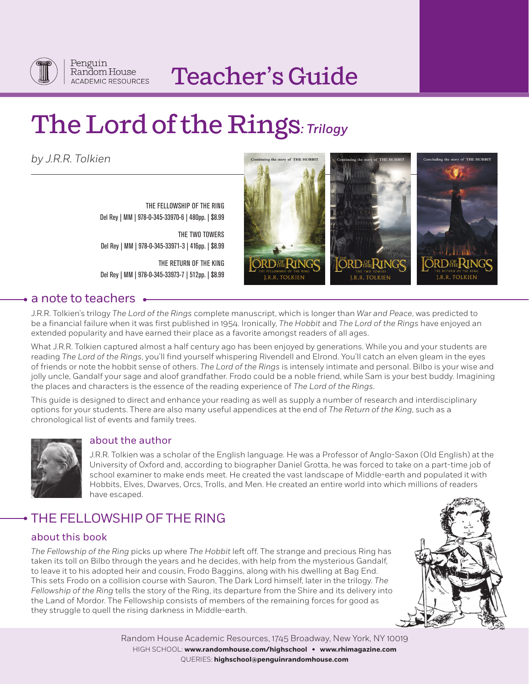

# Teacher's Guide

# The Lord of the Rings*: Trilogy*

*by J.R.R. Tolkien*

THE FELLOWSHIP OF THE RING Del Rey | MM | 978-0-345-33970-6 | 480pp. | \$8.99

THE TWO TOWERS Del Rey | MM | 978-0-345-33971-3 | 416pp. | \$8.99

THE RETURN OF THE KING Del Rey | MM | 978-0-345-33973-7 | 512pp. | \$8.99





# • a note to teachers •

J.R.R. Tolkien's trilogy *The Lord of the Rings* complete manuscript, which is longer than *War and Peace*, was predicted to be a financial failure when it was first published in 1954. Ironically, *The Hobbit* and *The Lord of the Rings* have enjoyed an extended popularity and have earned their place as a favorite amongst readers of all ages.

What J.R.R. Tolkien captured almost a half century ago has been enjoyed by generations. While you and your students are reading *The Lord of the Rings*, you'll find yourself whispering Rivendell and Elrond. You'll catch an elven gleam in the eyes of friends or note the hobbit sense of others. *The Lord of the Rings* is intensely intimate and personal. Bilbo is your wise and jolly uncle, Gandalf your sage and aloof grandfather. Frodo could be a noble friend, while Sam is your best buddy. Imagining the places and characters is the essence of the reading experience of *The Lord of the Rings*.

This guide is designed to direct and enhance your reading as well as supply a number of research and interdisciplinary options for your students. There are also many useful appendices at the end of *The Return of the King*, such as a chronological list of events and family trees.



# about the author

J.R.R. Tolkien was a scholar of the English language. He was a Professor of Anglo-Saxon (Old English) at the University of Oxford and, according to biographer Daniel Grotta, he was forced to take on a part-time job of school examiner to make ends meet. He created the vast landscape of Middle-earth and populated it with Hobbits, Elves, Dwarves, Orcs, Trolls, and Men. He created an entire world into which millions of readers have escaped.

# THE FELLOWSHIP OF THE RING

# about this book

*The Fellowship of the Ring* picks up where *The Hobbit* left off. The strange and precious Ring has taken its toll on Bilbo through the years and he decides, with help from the mysterious Gandalf, to leave it to his adopted heir and cousin, Frodo Baggins, along with his dwelling at Bag End. This sets Frodo on a collision course with Sauron, The Dark Lord himself, later in the trilogy. *The Fellowship of the Ring* tells the story of the Ring, its departure from the Shire and its delivery into the Land of Mordor. The Fellowship consists of members of the remaining forces for good as they struggle to quell the rising darkness in Middle-earth.



Random House Academic Resources, 1745 Broadway, New York, NY 10019 HIGH SCHOOL: **www.randomhouse.com/highschool • www.rhimagazine.com** QUERIES: **highschool@penguinrandomhouse.com**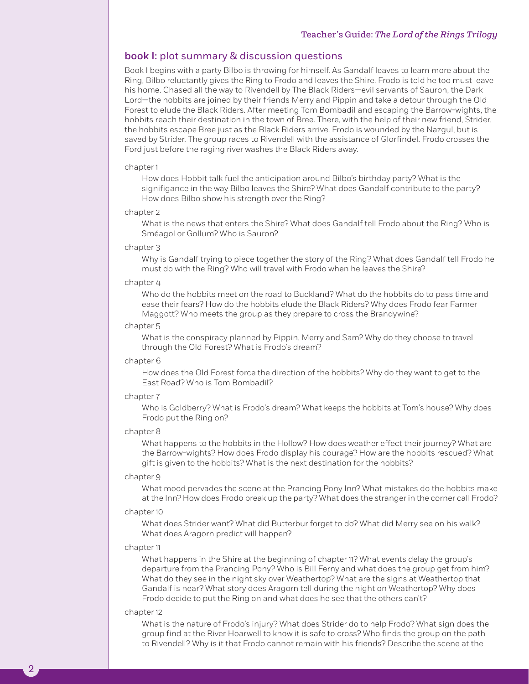# book I: plot summary & discussion questions

Book I begins with a party Bilbo is throwing for himself. As Gandalf leaves to learn more about the Ring, Bilbo reluctantly gives the Ring to Frodo and leaves the Shire. Frodo is told he too must leave his home. Chased all the way to Rivendell by The Black Riders—evil servants of Sauron, the Dark Lord—the hobbits are joined by their friends Merry and Pippin and take a detour through the Old Forest to elude the Black Riders. After meeting Tom Bombadil and escaping the Barrow-wights, the hobbits reach their destination in the town of Bree. There, with the help of their new friend, Strider, the hobbits escape Bree just as the Black Riders arrive. Frodo is wounded by the Nazgul, but is saved by Strider. The group races to Rivendell with the assistance of Glorfindel. Frodo crosses the Ford just before the raging river washes the Black Riders away.

## chapter 1

How does Hobbit talk fuel the anticipation around Bilbo's birthday party? What is the signifigance in the way Bilbo leaves the Shire? What does Gandalf contribute to the party? How does Bilbo show his strength over the Ring?

### chapter 2

What is the news that enters the Shire? What does Gandalf tell Frodo about the Ring? Who is Sméagol or Gollum? Who is Sauron?

# chapter 3

Why is Gandalf trying to piece together the story of the Ring? What does Gandalf tell Frodo he must do with the Ring? Who will travel with Frodo when he leaves the Shire?

# chapter 4

Who do the hobbits meet on the road to Buckland? What do the hobbits do to pass time and ease their fears? How do the hobbits elude the Black Riders? Why does Frodo fear Farmer Maggott? Who meets the group as they prepare to cross the Brandywine?

#### chapter 5

What is the conspiracy planned by Pippin, Merry and Sam? Why do they choose to travel through the Old Forest? What is Frodo's dream?

## chapter 6

How does the Old Forest force the direction of the hobbits? Why do they want to get to the East Road? Who is Tom Bombadil?

#### chapter 7

Who is Goldberry? What is Frodo's dream? What keeps the hobbits at Tom's house? Why does Frodo put the Ring on?

## chapter 8

What happens to the hobbits in the Hollow? How does weather effect their journey? What are the Barrow-wights? How does Frodo display his courage? How are the hobbits rescued? What gift is given to the hobbits? What is the next destination for the hobbits?

#### chapter 9

What mood pervades the scene at the Prancing Pony Inn? What mistakes do the hobbits make at the Inn? How does Frodo break up the party? What does the stranger in the corner call Frodo?

#### chapter 10

What does Strider want? What did Butterbur forget to do? What did Merry see on his walk? What does Aragorn predict will happen?

# chapter 11

What happens in the Shire at the beginning of chapter 11? What events delay the group's departure from the Prancing Pony? Who is Bill Ferny and what does the group get from him? What do they see in the night sky over Weathertop? What are the signs at Weathertop that Gandalf is near? What story does Aragorn tell during the night on Weathertop? Why does Frodo decide to put the Ring on and what does he see that the others can't?

# chapter 12

2

What is the nature of Frodo's injury? What does Strider do to help Frodo? What sign does the group find at the River Hoarwell to know it is safe to cross? Who finds the group on the path to Rivendell? Why is it that Frodo cannot remain with his friends? Describe the scene at the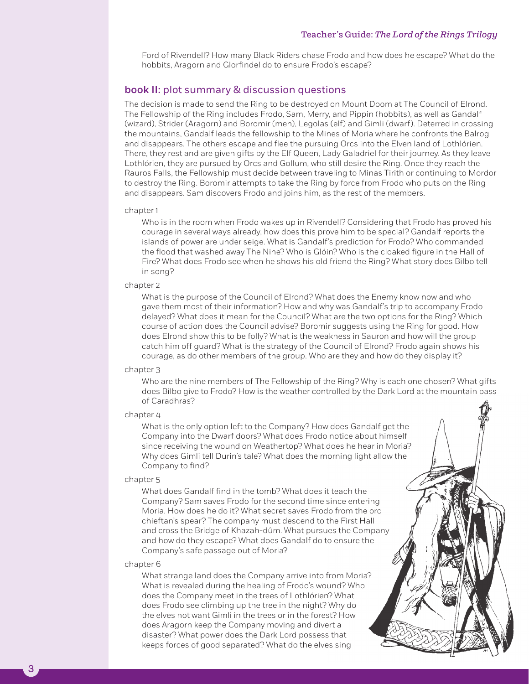Ford of Rivendell? How many Black Riders chase Frodo and how does he escape? What do the hobbits, Aragorn and Glorfindel do to ensure Frodo's escape?

# book II: plot summary & discussion questions

The decision is made to send the Ring to be destroyed on Mount Doom at The Council of Elrond. The Fellowship of the Ring includes Frodo, Sam, Merry, and Pippin (hobbits), as well as Gandalf (wizard), Strider (Aragorn) and Boromir (men), Legolas (elf) and Gimli (dwarf). Deterred in crossing the mountains, Gandalf leads the fellowship to the Mines of Moria where he confronts the Balrog and disappears. The others escape and flee the pursuing Orcs into the Elven land of Lothlórien. There, they rest and are given gifts by the Elf Queen, Lady Galadriel for their journey. As they leave Lothlórien, they are pursued by Orcs and Gollum, who still desire the Ring. Once they reach the Rauros Falls, the Fellowship must decide between traveling to Minas Tirith or continuing to Mordor to destroy the Ring. Boromir attempts to take the Ring by force from Frodo who puts on the Ring and disappears. Sam discovers Frodo and joins him, as the rest of the members.

#### chapter 1

Who is in the room when Frodo wakes up in Rivendell? Considering that Frodo has proved his courage in several ways already, how does this prove him to be special? Gandalf reports the islands of power are under seige. What is Gandalf's prediction for Frodo? Who commanded the flood that washed away The Nine? Who is Glóin? Who is the cloaked figure in the Hall of Fire? What does Frodo see when he shows his old friend the Ring? What story does Bilbo tell in song?

#### chapter 2

What is the purpose of the Council of Elrond? What does the Enemy know now and who gave them most of their information? How and why was Gandalf's trip to accompany Frodo delayed? What does it mean for the Council? What are the two options for the Ring? Which course of action does the Council advise? Boromir suggests using the Ring for good. How does Elrond show this to be folly? What is the weakness in Sauron and how will the group catch him off guard? What is the strategy of the Council of Elrond? Frodo again shows his courage, as do other members of the group. Who are they and how do they display it?

## chapter 3

Who are the nine members of The Fellowship of the Ring? Why is each one chosen? What gifts does Bilbo give to Frodo? How is the weather controlled by the Dark Lord at the mountain pass of Caradhras?

# chapter 4

What is the only option left to the Company? How does Gandalf get the Company into the Dwarf doors? What does Frodo notice about himself since receiving the wound on Weathertop? What does he hear in Moria? Why does Gimli tell Durin's tale? What does the morning light allow the Company to find?

## chapter 5

What does Gandalf find in the tomb? What does it teach the Company? Sam saves Frodo for the second time since entering Moria. How does he do it? What secret saves Frodo from the orc chieftan's spear? The company must descend to the First Hall and cross the Bridge of Khazah-dûm. What pursues the Company and how do they escape? What does Gandalf do to ensure the Company's safe passage out of Moria?

## chapter 6

What strange land does the Company arrive into from Moria? What is revealed during the healing of Frodo's wound? Who does the Company meet in the trees of Lothlórien? What does Frodo see climbing up the tree in the night? Why do the elves not want Gimli in the trees or in the forest? How does Aragorn keep the Company moving and divert a disaster? What power does the Dark Lord possess that keeps forces of good separated? What do the elves sing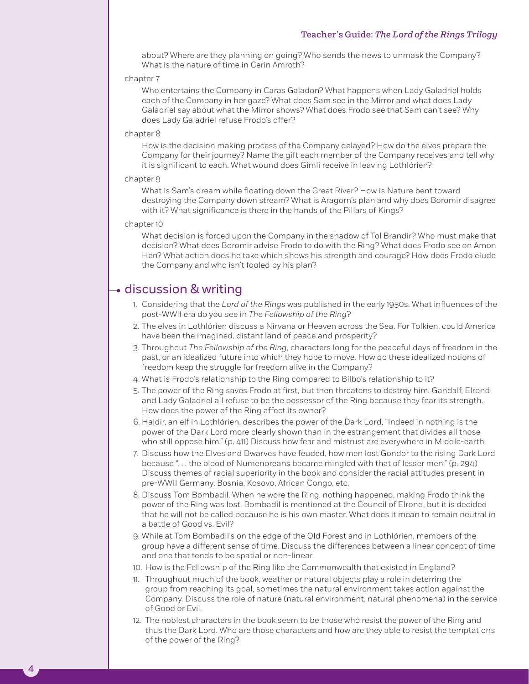about? Where are they planning on going? Who sends the news to unmask the Company? What is the nature of time in Cerin Amroth?

#### chapter 7

Who entertains the Company in Caras Galadon? What happens when Lady Galadriel holds each of the Company in her gaze? What does Sam see in the Mirror and what does Lady Galadriel say about what the Mirror shows? What does Frodo see that Sam can't see? Why does Lady Galadriel refuse Frodo's offer?

## chapter 8

How is the decision making process of the Company delayed? How do the elves prepare the Company for their journey? Name the gift each member of the Company receives and tell why it is significant to each. What wound does Gimli receive in leaving Lothlórien?

## chapter 9

What is Sam's dream while floating down the Great River? How is Nature bent toward destroying the Company down stream? What is Aragorn's plan and why does Boromir disagree with it? What significance is there in the hands of the Pillars of Kings?

## chapter 10

4

What decision is forced upon the Company in the shadow of Tol Brandir? Who must make that decision? What does Boromir advise Frodo to do with the Ring? What does Frodo see on Amon Hen? What action does he take which shows his strength and courage? How does Frodo elude the Company and who isn't fooled by his plan?

# discussion & writing

- 1. Considering that the *Lord of the Rings* was published in the early 1950s. What influences of the post-WWII era do you see in *The Fellowship of the Ring*?
- 2. The elves in Lothlórien discuss a Nirvana or Heaven across the Sea. For Tolkien, could America have been the imagined, distant land of peace and prosperity?
- 3. Throughout *The Fellowship of the Ring*, characters long for the peaceful days of freedom in the past, or an idealized future into which they hope to move. How do these idealized notions of freedom keep the struggle for freedom alive in the Company?
- 4. What is Frodo's relationship to the Ring compared to Bilbo's relationship to it?
- 5. The power of the Ring saves Frodo at first, but then threatens to destroy him. Gandalf, Elrond and Lady Galadriel all refuse to be the possessor of the Ring because they fear its strength. How does the power of the Ring affect its owner?
- 6. Haldir, an elf in Lothlórien, describes the power of the Dark Lord, "Indeed in nothing is the power of the Dark Lord more clearly shown than in the estrangement that divides all those who still oppose him." (p. 411) Discuss how fear and mistrust are everywhere in Middle-earth.
- 7. Discuss how the Elves and Dwarves have feuded, how men lost Gondor to the rising Dark Lord because ". . . the blood of Numenoreans became mingled with that of lesser men." (p. 294) Discuss themes of racial superiority in the book and consider the racial attitudes present in pre-WWII Germany, Bosnia, Kosovo, African Congo, etc.
- 8. Discuss Tom Bombadil. When he wore the Ring, nothing happened, making Frodo think the power of the Ring was lost. Bombadil is mentioned at the Council of Elrond, but it is decided that he will not be called because he is his own master. What does it mean to remain neutral in a battle of Good vs. Evil?
- 9. While at Tom Bombadil's on the edge of the Old Forest and in Lothlórien, members of the group have a different sense of time. Discuss the differences between a linear concept of time and one that tends to be spatial or non-linear.
- 10. How is the Fellowship of the Ring like the Commonwealth that existed in England?
- 11. Throughout much of the book, weather or natural objects play a role in deterring the group from reaching its goal, sometimes the natural environment takes action against the Company. Discuss the role of nature (natural environment, natural phenomena) in the service of Good or Evil.
- 12. The noblest characters in the book seem to be those who resist the power of the Ring and thus the Dark Lord. Who are those characters and how are they able to resist the temptations of the power of the Ring?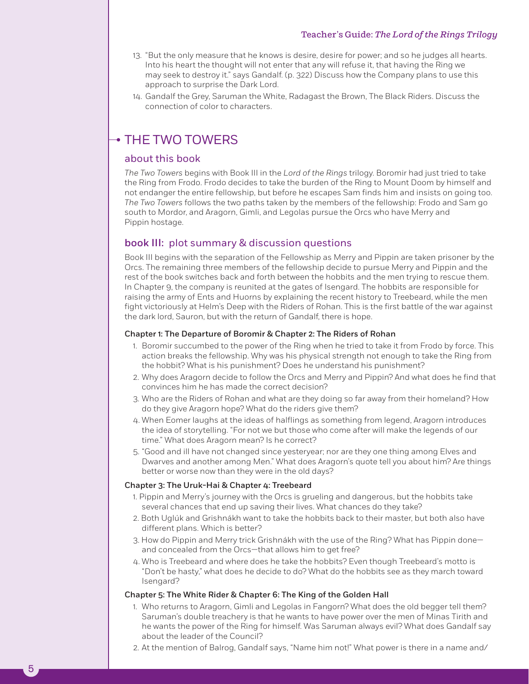# Teacher's Guide: *The Lord of the Rings Trilogy*

- 13. "But the only measure that he knows is desire, desire for power; and so he judges all hearts. Into his heart the thought will not enter that any will refuse it, that having the Ring we may seek to destroy it." says Gandalf. (p. 322) Discuss how the Company plans to use this approach to surprise the Dark Lord.
- 14. Gandalf the Grey, Saruman the White, Radagast the Brown, The Black Riders. Discuss the connection of color to characters.

# $\overline{\phantom{a}}$  THE TWO TOWERS

# about this book

*The Two Towers* begins with Book III in the *Lord of the Rings* trilogy. Boromir had just tried to take the Ring from Frodo. Frodo decides to take the burden of the Ring to Mount Doom by himself and not endanger the entire fellowship, but before he escapes Sam finds him and insists on going too. *The Two Towers* follows the two paths taken by the members of the fellowship: Frodo and Sam go south to Mordor, and Aragorn, Gimli, and Legolas pursue the Orcs who have Merry and Pippin hostage.

# book III: plot summary & discussion questions

Book III begins with the separation of the Fellowship as Merry and Pippin are taken prisoner by the Orcs. The remaining three members of the fellowship decide to pursue Merry and Pippin and the rest of the book switches back and forth between the hobbits and the men trying to rescue them. In Chapter 9, the company is reunited at the gates of Isengard. The hobbits are responsible for raising the army of Ents and Huorns by explaining the recent history to Treebeard, while the men fight victoriously at Helm's Deep with the Riders of Rohan. This is the first battle of the war against the dark lord, Sauron, but with the return of Gandalf, there is hope.

## Chapter 1: The Departure of Boromir & Chapter 2: The Riders of Rohan

- 1. Boromir succumbed to the power of the Ring when he tried to take it from Frodo by force. This action breaks the fellowship. Why was his physical strength not enough to take the Ring from the hobbit? What is his punishment? Does he understand his punishment?
- 2. Why does Aragorn decide to follow the Orcs and Merry and Pippin? And what does he find that convinces him he has made the correct decision?
- 3. Who are the Riders of Rohan and what are they doing so far away from their homeland? How do they give Aragorn hope? What do the riders give them?
- 4. When Eomer laughs at the ideas of halflings as something from legend, Aragorn introduces the idea of storytelling. "For not we but those who come after will make the legends of our time." What does Aragorn mean? Is he correct?
- 5. "Good and ill have not changed since yesteryear; nor are they one thing among Elves and Dwarves and another among Men." What does Aragorn's quote tell you about him? Are things better or worse now than they were in the old days?

# Chapter 3: The Uruk-Hai & Chapter 4: Treebeard

5

- 1. Pippin and Merry's journey with the Orcs is grueling and dangerous, but the hobbits take several chances that end up saving their lives. What chances do they take?
- 2. Both Uglúk and Grishnákh want to take the hobbits back to their master, but both also have different plans. Which is better?
- 3. How do Pippin and Merry trick Grishnákh with the use of the Ring? What has Pippin done and concealed from the Orcs—that allows him to get free?
- 4. Who is Treebeard and where does he take the hobbits? Even though Treebeard's motto is "Don't be hasty," what does he decide to do? What do the hobbits see as they march toward Isengard?

## Chapter 5: The White Rider & Chapter 6: The King of the Golden Hall

- 1. Who returns to Aragorn, Gimli and Legolas in Fangorn? What does the old begger tell them? Saruman's double treachery is that he wants to have power over the men of Minas Tirith and he wants the power of the Ring for himself. Was Saruman always evil? What does Gandalf say about the leader of the Council?
- 2. At the mention of Balrog, Gandalf says, "Name him not!" What power is there in a name and/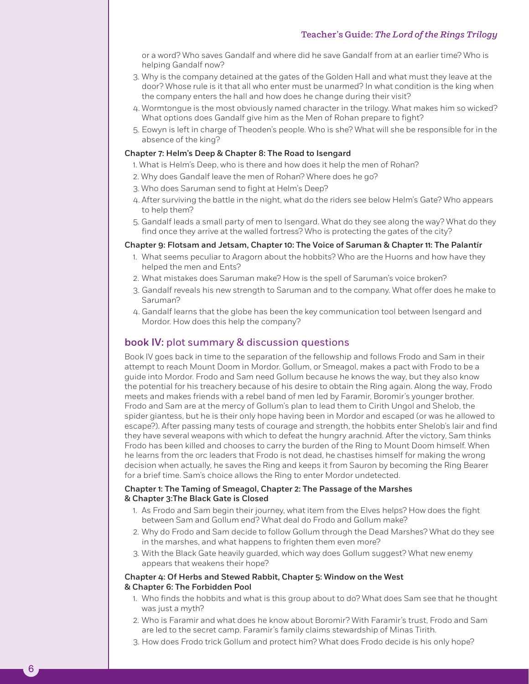or a word? Who saves Gandalf and where did he save Gandalf from at an earlier time? Who is helping Gandalf now?

- 3. Why is the company detained at the gates of the Golden Hall and what must they leave at the door? Whose rule is it that all who enter must be unarmed? In what condition is the king when the company enters the hall and how does he change during their visit?
- 4. Wormtongue is the most obviously named character in the trilogy. What makes him so wicked? What options does Gandalf give him as the Men of Rohan prepare to fight?
- 5. Eowyn is left in charge of Theoden's people. Who is she? What will she be responsible for in the absence of the king?

## Chapter 7: Helm's Deep & Chapter 8: The Road to Isengard

- 1. What is Helm's Deep, who is there and how does it help the men of Rohan?
- 2. Why does Gandalf leave the men of Rohan? Where does he go?
- 3. Who does Saruman send to fight at Helm's Deep?
- 4. After surviving the battle in the night, what do the riders see below Helm's Gate? Who appears to help them?
- 5. Gandalf leads a small party of men to Isengard. What do they see along the way? What do they find once they arrive at the walled fortress? Who is protecting the gates of the city?

## Chapter 9: Flotsam and Jetsam, Chapter 10: The Voice of Saruman & Chapter 11: The Palantír

- 1. What seems peculiar to Aragorn about the hobbits? Who are the Huorns and how have they helped the men and Ents?
- 2. What mistakes does Saruman make? How is the spell of Saruman's voice broken?
- 3. Gandalf reveals his new strength to Saruman and to the company. What offer does he make to Saruman?
- 4. Gandalf learns that the globe has been the key communication tool between Isengard and Mordor. How does this help the company?

# book IV: plot summary & discussion questions

Book IV goes back in time to the separation of the fellowship and follows Frodo and Sam in their attempt to reach Mount Doom in Mordor. Gollum, or Smeagol, makes a pact with Frodo to be a guide into Mordor. Frodo and Sam need Gollum because he knows the way, but they also know the potential for his treachery because of his desire to obtain the Ring again. Along the way, Frodo meets and makes friends with a rebel band of men led by Faramir, Boromir's younger brother. Frodo and Sam are at the mercy of Gollum's plan to lead them to Cirith Ungol and Shelob, the spider giantess, but he is their only hope having been in Mordor and escaped (or was he allowed to escape?). After passing many tests of courage and strength, the hobbits enter Shelob's lair and find they have several weapons with which to defeat the hungry arachnid. After the victory, Sam thinks Frodo has been killed and chooses to carry the burden of the Ring to Mount Doom himself. When he learns from the orc leaders that Frodo is not dead, he chastises himself for making the wrong decision when actually, he saves the Ring and keeps it from Sauron by becoming the Ring Bearer for a brief time. Sam's choice allows the Ring to enter Mordor undetected.

# Chapter 1: The Taming of Smeagol, Chapter 2: The Passage of the Marshes & Chapter 3:The Black Gate is Closed

- 1. As Frodo and Sam begin their journey, what item from the Elves helps? How does the fight between Sam and Gollum end? What deal do Frodo and Gollum make?
- 2. Why do Frodo and Sam decide to follow Gollum through the Dead Marshes? What do they see in the marshes, and what happens to frighten them even more?
- 3. With the Black Gate heavily guarded, which way does Gollum suggest? What new enemy appears that weakens their hope?

# Chapter 4: Of Herbs and Stewed Rabbit, Chapter 5: Window on the West & Chapter 6: The Forbidden Pool

- 1. Who finds the hobbits and what is this group about to do? What does Sam see that he thought was just a myth?
- 2. Who is Faramir and what does he know about Boromir? With Faramir's trust, Frodo and Sam are led to the secret camp. Faramir's family claims stewardship of Minas Tirith.
- 3. How does Frodo trick Gollum and protect him? What does Frodo decide is his only hope?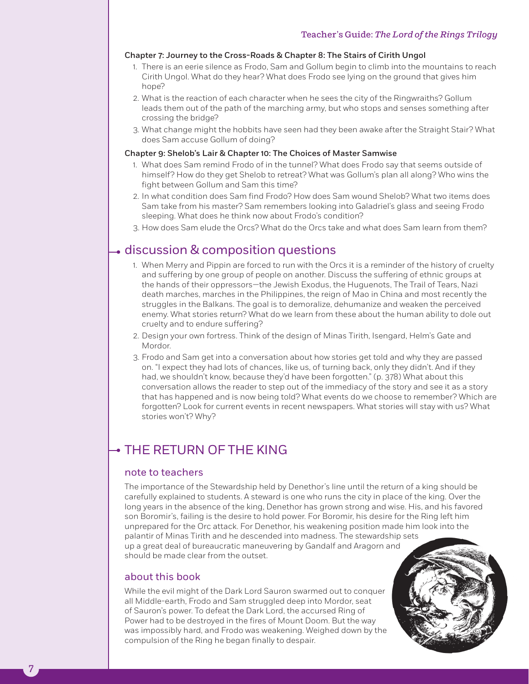# Chapter 7: Journey to the Cross-Roads & Chapter 8: The Stairs of Cirith Ungol

- 1. There is an eerie silence as Frodo, Sam and Gollum begin to climb into the mountains to reach Cirith Ungol. What do they hear? What does Frodo see lying on the ground that gives him hope?
- 2. What is the reaction of each character when he sees the city of the Ringwraiths? Gollum leads them out of the path of the marching army, but who stops and senses something after crossing the bridge?
- 3. What change might the hobbits have seen had they been awake after the Straight Stair? What does Sam accuse Gollum of doing?

# Chapter 9: Shelob's Lair & Chapter 10: The Choices of Master Samwise

- 1. What does Sam remind Frodo of in the tunnel? What does Frodo say that seems outside of himself? How do they get Shelob to retreat? What was Gollum's plan all along? Who wins the fight between Gollum and Sam this time?
- 2. In what condition does Sam find Frodo? How does Sam wound Shelob? What two items does Sam take from his master? Sam remembers looking into Galadriel's glass and seeing Frodo sleeping. What does he think now about Frodo's condition?
- 3. How does Sam elude the Orcs? What do the Orcs take and what does Sam learn from them?

# $\overline{\bullet}$  discussion & composition questions

- 1. When Merry and Pippin are forced to run with the Orcs it is a reminder of the history of cruelty and suffering by one group of people on another. Discuss the suffering of ethnic groups at the hands of their oppressors—the Jewish Exodus, the Huguenots, The Trail of Tears, Nazi death marches, marches in the Philippines, the reign of Mao in China and most recently the struggles in the Balkans. The goal is to demoralize, dehumanize and weaken the perceived enemy. What stories return? What do we learn from these about the human ability to dole out cruelty and to endure suffering?
- 2. Design your own fortress. Think of the design of Minas Tirith, Isengard, Helm's Gate and Mordor.
- 3. Frodo and Sam get into a conversation about how stories get told and why they are passed on. "I expect they had lots of chances, like us, of turning back, only they didn't. And if they had, we shouldn't know, because they'd have been forgotten." (p. 378) What about this conversation allows the reader to step out of the immediacy of the story and see it as a story that has happened and is now being told? What events do we choose to remember? Which are forgotten? Look for current events in recent newspapers. What stories will stay with us? What stories won't? Why?

# THE RETURN OF THE KING

# note to teachers

The importance of the Stewardship held by Denethor's line until the return of a king should be carefully explained to students. A steward is one who runs the city in place of the king. Over the long years in the absence of the king, Denethor has grown strong and wise. His, and his favored son Boromir's, failing is the desire to hold power. For Boromir, his desire for the Ring left him unprepared for the Orc attack. For Denethor, his weakening position made him look into the palantir of Minas Tirith and he descended into madness. The stewardship sets up a great deal of bureaucratic maneuvering by Gandalf and Aragorn and should be made clear from the outset.

# about this book

While the evil might of the Dark Lord Sauron swarmed out to conquer all Middle-earth, Frodo and Sam struggled deep into Mordor, seat of Sauron's power. To defeat the Dark Lord, the accursed Ring of Power had to be destroyed in the fires of Mount Doom. But the way was impossibly hard, and Frodo was weakening. Weighed down by the compulsion of the Ring he began finally to despair.



7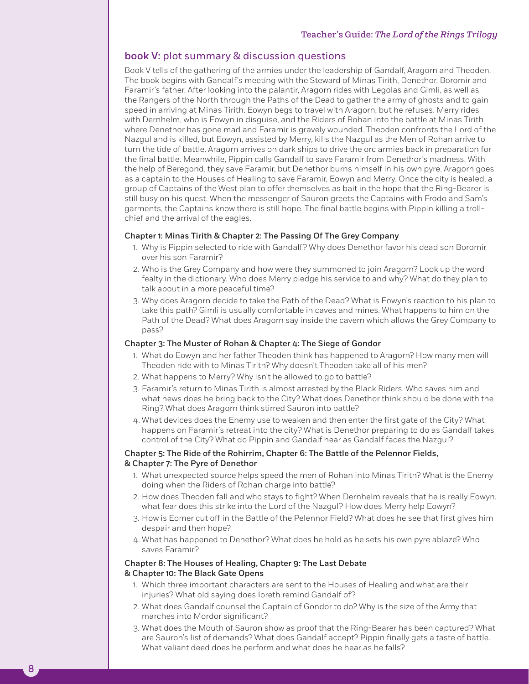# book V: plot summary & discussion questions

Book V tells of the gathering of the armies under the leadership of Gandalf, Aragorn and Theoden. The book begins with Gandalf's meeting with the Steward of Minas Tirith, Denethor, Boromir and Faramir's father. After looking into the palantir, Aragorn rides with Legolas and Gimli, as well as the Rangers of the North through the Paths of the Dead to gather the army of ghosts and to gain speed in arriving at Minas Tirith. Eowyn begs to travel with Aragorn, but he refuses. Merry rides with Dernhelm, who is Eowyn in disguise, and the Riders of Rohan into the battle at Minas Tirith where Denethor has gone mad and Faramir is gravely wounded. Theoden confronts the Lord of the Nazgul and is killed, but Eowyn, assisted by Merry, kills the Nazgul as the Men of Rohan arrive to turn the tide of battle. Aragorn arrives on dark ships to drive the orc armies back in preparation for the final battle. Meanwhile, Pippin calls Gandalf to save Faramir from Denethor's madness. With the help of Beregond, they save Faramir, but Denethor burns himself in his own pyre. Aragorn goes as a captain to the Houses of Healing to save Faramir, Eowyn and Merry. Once the city is healed, a group of Captains of the West plan to offer themselves as bait in the hope that the Ring-Bearer is still busy on his quest. When the messenger of Sauron greets the Captains with Frodo and Sam's garments, the Captains know there is still hope. The final battle begins with Pippin killing a trollchief and the arrival of the eagles.

# Chapter 1: Minas Tirith & Chapter 2: The Passing Of The Grey Company

- 1. Why is Pippin selected to ride with Gandalf? Why does Denethor favor his dead son Boromir over his son Faramir?
- 2. Who is the Grey Company and how were they summoned to join Aragorn? Look up the word fealty in the dictionary. Who does Merry pledge his service to and why? What do they plan to talk about in a more peaceful time?
- 3. Why does Aragorn decide to take the Path of the Dead? What is Eowyn's reaction to his plan to take this path? Gimli is usually comfortable in caves and mines. What happens to him on the Path of the Dead? What does Aragorn say inside the cavern which allows the Grey Company to pass?

# Chapter 3: The Muster of Rohan & Chapter 4: The Siege of Gondor

- 1. What do Eowyn and her father Theoden think has happened to Aragorn? How many men will Theoden ride with to Minas Tirith? Why doesn't Theoden take all of his men?
- 2. What happens to Merry? Why isn't he allowed to go to battle?
- 3. Faramir's return to Minas Tirith is almost arrested by the Black Riders. Who saves him and what news does he bring back to the City? What does Denethor think should be done with the Ring? What does Aragorn think stirred Sauron into battle?
- 4. What devices does the Enemy use to weaken and then enter the first gate of the City? What happens on Faramir's retreat into the city? What is Denethor preparing to do as Gandalf takes control of the City? What do Pippin and Gandalf hear as Gandalf faces the Nazgul?

# Chapter 5: The Ride of the Rohirrim, Chapter 6: The Battle of the Pelennor Fields, & Chapter 7: The Pyre of Denethor

- 1. What unexpected source helps speed the men of Rohan into Minas Tirith? What is the Enemy doing when the Riders of Rohan charge into battle?
- 2. How does Theoden fall and who stays to fight? When Dernhelm reveals that he is really Eowyn, what fear does this strike into the Lord of the Nazgul? How does Merry help Eowyn?
- 3. How is Eomer cut off in the Battle of the Pelennor Field? What does he see that first gives him despair and then hope?
- 4. What has happened to Denethor? What does he hold as he sets his own pyre ablaze? Who saves Faramir?

# Chapter 8: The Houses of Healing, Chapter 9: The Last Debate & Chapter 10: The Black Gate Opens

- 1. Which three important characters are sent to the Houses of Healing and what are their injuries? What old saying does Ioreth remind Gandalf of?
- 2. What does Gandalf counsel the Captain of Gondor to do? Why is the size of the Army that marches into Mordor significant?
- 3. What does the Mouth of Sauron show as proof that the Ring-Bearer has been captured? What are Sauron's list of demands? What does Gandalf accept? Pippin finally gets a taste of battle. What valiant deed does he perform and what does he hear as he falls?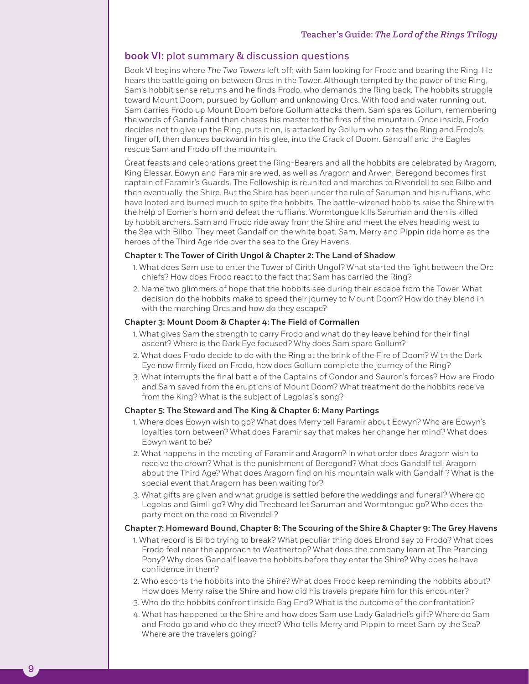# book VI: plot summary & discussion questions

Book VI begins where *The Two Towers* left off; with Sam looking for Frodo and bearing the Ring. He hears the battle going on between Orcs in the Tower. Although tempted by the power of the Ring, Sam's hobbit sense returns and he finds Frodo, who demands the Ring back. The hobbits struggle toward Mount Doom, pursued by Gollum and unknowing Orcs. With food and water running out, Sam carries Frodo up Mount Doom before Gollum attacks them. Sam spares Gollum, remembering the words of Gandalf and then chases his master to the fires of the mountain. Once inside, Frodo decides not to give up the Ring, puts it on, is attacked by Gollum who bites the Ring and Frodo's finger off, then dances backward in his glee, into the Crack of Doom. Gandalf and the Eagles rescue Sam and Frodo off the mountain.

Great feasts and celebrations greet the Ring-Bearers and all the hobbits are celebrated by Aragorn, King Elessar. Eowyn and Faramir are wed, as well as Aragorn and Arwen. Beregond becomes first captain of Faramir's Guards. The Fellowship is reunited and marches to Rivendell to see Bilbo and then eventually, the Shire. But the Shire has been under the rule of Saruman and his ruffians, who have looted and burned much to spite the hobbits. The battle-wizened hobbits raise the Shire with the help of Eomer's horn and defeat the ruffians. Wormtongue kills Saruman and then is killed by hobbit archers. Sam and Frodo ride away from the Shire and meet the elves heading west to the Sea with Bilbo. They meet Gandalf on the white boat. Sam, Merry and Pippin ride home as the heroes of the Third Age ride over the sea to the Grey Havens.

# Chapter 1: The Tower of Cirith Ungol & Chapter 2: The Land of Shadow

- 1. What does Sam use to enter the Tower of Cirith Ungol? What started the fight between the Orc chiefs? How does Frodo react to the fact that Sam has carried the Ring?
- 2. Name two glimmers of hope that the hobbits see during their escape from the Tower. What decision do the hobbits make to speed their journey to Mount Doom? How do they blend in with the marching Orcs and how do they escape?

# Chapter 3: Mount Doom & Chapter 4: The Field of Cormallen

- 1. What gives Sam the strength to carry Frodo and what do they leave behind for their final ascent? Where is the Dark Eye focused? Why does Sam spare Gollum?
- 2. What does Frodo decide to do with the Ring at the brink of the Fire of Doom? With the Dark Eye now firmly fixed on Frodo, how does Gollum complete the journey of the Ring?
- 3. What interrupts the final battle of the Captains of Gondor and Sauron's forces? How are Frodo and Sam saved from the eruptions of Mount Doom? What treatment do the hobbits receive from the King? What is the subject of Legolas's song?

# Chapter 5: The Steward and The King & Chapter 6: Many Partings

9

- 1. Where does Eowyn wish to go? What does Merry tell Faramir about Eowyn? Who are Eowyn's loyalties torn between? What does Faramir say that makes her change her mind? What does Eowyn want to be?
- 2. What happens in the meeting of Faramir and Aragorn? In what order does Aragorn wish to receive the crown? What is the punishment of Beregond? What does Gandalf tell Aragorn about the Third Age? What does Aragorn find on his mountain walk with Gandalf ? What is the special event that Aragorn has been waiting for?
- 3. What gifts are given and what grudge is settled before the weddings and funeral? Where do Legolas and Gimli go? Why did Treebeard let Saruman and Wormtongue go? Who does the party meet on the road to Rivendell?

# Chapter 7: Homeward Bound, Chapter 8: The Scouring of the Shire & Chapter 9: The Grey Havens

- 1. What record is Bilbo trying to break? What peculiar thing does Elrond say to Frodo? What does Frodo feel near the approach to Weathertop? What does the company learn at The Prancing Pony? Why does Gandalf leave the hobbits before they enter the Shire? Why does he have confidence in them?
- 2. Who escorts the hobbits into the Shire? What does Frodo keep reminding the hobbits about? How does Merry raise the Shire and how did his travels prepare him for this encounter?
- 3. Who do the hobbits confront inside Bag End? What is the outcome of the confrontation?
- 4. What has happened to the Shire and how does Sam use Lady Galadriel's gift? Where do Sam and Frodo go and who do they meet? Who tells Merry and Pippin to meet Sam by the Sea? Where are the travelers going?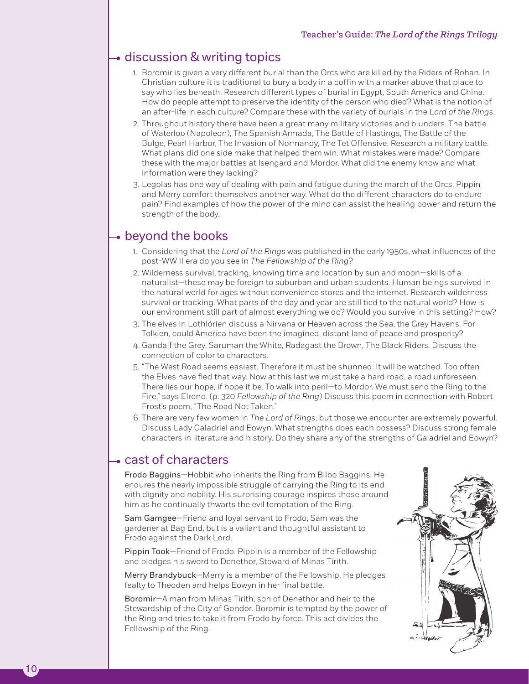# **→ discussion & writing topics**

- 1. Boromir is given a very different burial than the Orcs who are killed by the Riders of Rohan. In Christian culture it is traditional to bury a body in a coffin with a marker above that place to say who lies beneath. Research different types of burial in Egypt, South America and China. How do people attempt to preserve the identity of the person who died? What is the notion of an after-life in each culture? Compare these with the variety of burials in the *Lord of the Rings*.
- 2. Throughout history there have been a great many military victories and blunders. The battle of Waterloo (Napoleon), The Spanish Armada, The Battle of Hastings, The Battle of the Bulge, Pearl Harbor, The Invasion of Normandy, The Tet Offensive. Research a military battle. What plans did one side make that helped them win. What mistakes were made? Compare these with the major battles at Isengard and Mordor. What did the enemy know and what information were they lacking?
- 3. Legolas has one way of dealing with pain and fatigue during the march of the Orcs. Pippin and Merry comfort themselves another way. What do the different characters do to endure pain? Find examples of how the power of the mind can assist the healing power and return the strength of the body.

# beyond the books

- 1. Considering that the *Lord of the Rings* was published in the early 1950s, what influences of the post-WW II era do you see in *The Fellowship of the Ring*?
- 2. Wilderness survival, tracking, knowing time and location by sun and moon—skills of a naturalist—these may be foreign to suburban and urban students. Human beings survived in the natural world for ages without convenience stores and the internet. Research wilderness survival or tracking. What parts of the day and year are still tied to the natural world? How is our environment still part of almost everything we do? Would you survive in this setting? How?
- 3. The elves in Lothlórien discuss a Nirvana or Heaven across the Sea, the Grey Havens. For Tolkien, could America have been the imagined, distant land of peace and prosperity?
- 4. Gandalf the Grey, Saruman the White, Radagast the Brown, The Black Riders. Discuss the connection of color to characters.
- 5. "The West Road seems easiest. Therefore it must be shunned. It will be watched. Too often the Elves have fled that way. Now at this last we must take a hard road, a road unforeseen. There lies our hope, if hope it be. To walk into peril—to Mordor. We must send the Ring to the Fire," says Elrond. (p. 320 *Fellowship of the Ring*) Discuss this poem in connection with Robert Frost's poem, "The Road Not Taken."
- 6. There are very few women in *The Lord of Rings*, but those we encounter are extremely powerful. Discuss Lady Galadriel and Eowyn. What strengths does each possess? Discuss strong female characters in literature and history. Do they share any of the strengths of Galadriel and Eowyn?

# cast of characters

Frodo Baggins—Hobbit who inherits the Ring from Bilbo Baggins. He endures the nearly impossible struggle of carrying the Ring to its end with dignity and nobility. His surprising courage inspires those around him as he continually thwarts the evil temptation of the Ring.

Sam Gamgee—Friend and loyal servant to Frodo, Sam was the gardener at Bag End, but is a valiant and thoughtful assistant to Frodo against the Dark Lord.

Pippin Took—Friend of Frodo. Pippin is a member of the Fellowship and pledges his sword to Denethor, Steward of Minas Tirith.

Merry Brandybuck—Merry is a member of the Fellowship. He pledges fealty to Theoden and helps Eowyn in her final battle.

Boromir—A man from Minas Tirith, son of Denethor and heir to the Stewardship of the City of Gondor. Boromir is tempted by the power of the Ring and tries to take it from Frodo by force. This act divides the Fellowship of the Ring.